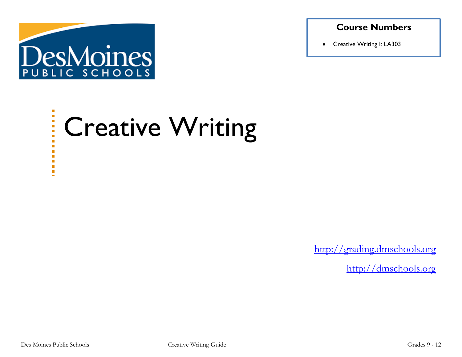

### **Course Numbers**

• Creative Writing I: LA303

#### $\blacksquare$  $\overline{\phantom{a}}$ Creative Writing  $\frac{1}{2}$ Ē.

[http://grading.dmschools.org](http://grading.dmschools.org/)

[http://dmschools.org](http://dmschools.org/)

É

 $\blacksquare$ o.  $\blacksquare$  $\mathcal{L}_{\mathcal{A}}$  $\blacksquare$  $\blacksquare$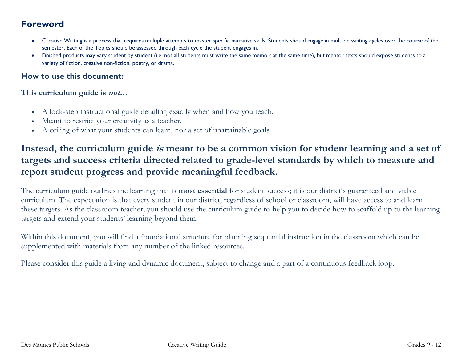### **Foreword**

- Creative Writing is a process that requires multiple attempts to master specific narrative skills. Students should engage in multiple writing cycles over the course of the semester. Each of the Topics should be assessed through each cycle the student engages in.
- Finished products may vary student by student (i.e. not all students must write the same memoir at the same time), but mentor texts should expose students to a variety of fiction, creative non-fiction, poetry, or drama.

### **How to use this document:**

**This curriculum guide is not…**

- A lock-step instructional guide detailing exactly when and how you teach.
- Meant to restrict your creativity as a teacher.
- A ceiling of what your students can learn, nor a set of unattainable goals.

## **Instead, the curriculum guide is meant to be a common vision for student learning and a set of targets and success criteria directed related to grade-level standards by which to measure and report student progress and provide meaningful feedback.**

The curriculum guide outlines the learning that is **most essential** for student success; it is our district's guaranteed and viable curriculum. The expectation is that every student in our district, regardless of school or classroom, will have access to and learn these targets. As the classroom teacher, you should use the curriculum guide to help you to decide how to scaffold up to the learning targets and extend your students' learning beyond them.

Within this document, you will find a foundational structure for planning sequential instruction in the classroom which can be supplemented with materials from any number of the linked resources.

Please consider this guide a living and dynamic document, subject to change and a part of a continuous feedback loop.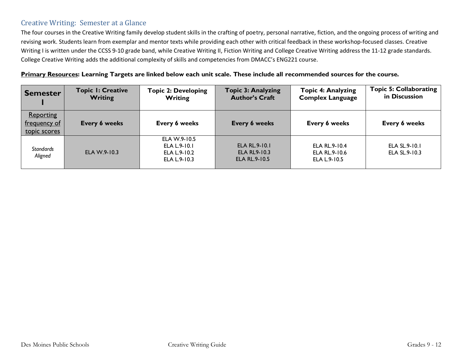### Creative Writing: Semester at a Glance

The four courses in the Creative Writing family develop student skills in the crafting of poetry, personal narrative, fiction, and the ongoing process of writing and revising work. Students learn from exemplar and mentor texts while providing each other with critical feedback in these workshop-focused classes. Creative Writing I is written under the CCSS 9-10 grade band, while Creative Writing II, Fiction Writing and College Creative Writing address the 11-12 grade standards. College Creative Writing adds the additional complexity of skills and competencies from DMACC's ENG221 course.

#### **Primary Resources: Learning Targets are linked below each unit scale. These include all recommended sources for the course.**

| <b>Semester</b>                           | <b>Topic I: Creative</b><br>Writing | <b>Topic 2: Developing</b><br>Writing                        | <b>Topic 3: Analyzing</b><br><b>Author's Craft</b>                  | <b>Topic 4: Analyzing</b><br><b>Complex Language</b> | <b>Topic 5: Collaborating</b><br>in Discussion |
|-------------------------------------------|-------------------------------------|--------------------------------------------------------------|---------------------------------------------------------------------|------------------------------------------------------|------------------------------------------------|
| Reporting<br>frequency of<br>topic scores | <b>Every 6 weeks</b>                | Every 6 weeks                                                | <b>Every 6 weeks</b>                                                | Every 6 weeks                                        | Every 6 weeks                                  |
| <b>Standards</b><br>Aligned               | ELA W.9-10.3                        | ELA W.9-10.5<br>ELA L.9-10.1<br>ELA L.9-10.2<br>ELA L.9-10.3 | <b>ELA RL.9-10.1</b><br><b>ELA RL9-10.3</b><br><b>ELA RL.9-10.5</b> | ELA RL.9-10.4<br>ELA RL.9-10.6<br>ELA L.9-10.5       | ELA SL.9-10.1<br>ELA SL.9-10.3                 |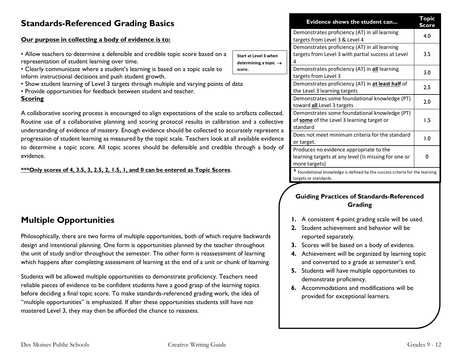## **Standards-Referenced Grading Basics**

#### **Our purpose in collecting a body of evidence is to:**

- Allow teachers to determine a defensible and credible topic score representation of student learning over time.
- Clearly communicate where a student's learning is based on a topic inform instructional decisions and push student growth.
- Show student learning of Level 3 targets through multiple and varyi
- Provide opportunities for feedback between student and teacher.

#### **Scoring**

A collaborative scoring process is encouraged to align expectations c Routine use of a collaborative planning and scoring protocol result understanding of evidence of mastery. Enough evidence should be co progression of student learning as measured by the topic scale. Teach to determine a topic score. All topic scores should be defensible evidence.

#### **\*\*\*Only scores of 4, 3.5, 3, 2.5, 2, 1.5, 1, and 0 can be entered as Topic Scores**.

### **Multiple Opportunities**

Philosophically, there are two forms of multiple opportunities, both of which require backwards design and intentional planning. One form is opportunities planned by the teacher throughout the unit of study and/or throughout the semester. The other form is reassessment of learning which happens after completing assessment of learning at the end of a unit or chunk of learning.

Students will be allowed multiple opportunities to demonstrate proficiency. Teachers need reliable pieces of evidence to be confident students have a good grasp of the learning topics before deciding a final topic score. To make standards-referenced grading work, the idea of "multiple opportunities" is emphasized. If after these opportunities students still have not mastered Level 3, they may then be afforded the chance to reassess.

|                                                                                                                                                        |                                                            | Evidence shows the student can                                                                                   | Topic<br>Score |
|--------------------------------------------------------------------------------------------------------------------------------------------------------|------------------------------------------------------------|------------------------------------------------------------------------------------------------------------------|----------------|
|                                                                                                                                                        |                                                            | Demonstrates proficiency (AT) in all learning<br>targets from Level 3 & Level 4                                  | 4.0            |
| based on a                                                                                                                                             | Start at Level 3 when<br>determining a topic $\rightarrow$ | Demonstrates proficiency (AT) in all learning<br>targets from Level 3 with partial success at Level<br>4         | 3.5            |
| : scale to                                                                                                                                             | score.                                                     | Demonstrates proficiency (AT) in all learning<br>targets from Level 3                                            | 3.0            |
| ing points of data                                                                                                                                     |                                                            | Demonstrates proficiency (AT) in at least half of<br>the Level 3 learning targets                                | 2.5            |
|                                                                                                                                                        |                                                            | Demonstrates some foundational knowledge (PT)<br>toward all Level 3 targets                                      | 2.0            |
| of the scale to artifacts collected.<br>ts in calibration and a collective<br>llected to accurately represent a<br>ners look at all available evidence |                                                            | Demonstrates some foundational knowledge (PT)<br>of some of the Level 3 learning target or<br>standard           | 1.5            |
|                                                                                                                                                        |                                                            | Does not meet minimum criteria for the standard<br>or target.                                                    | 0.1            |
|                                                                                                                                                        | and credible through a body of                             | Produces no evidence appropriate to the<br>learning targets at any level (Is missing for one or<br>more targets) | O              |
|                                                                                                                                                        |                                                            |                                                                                                                  |                |

\* foundational knowledge is defined by the success criteria for the learning targets or standards.

#### **Guiding Practices of Standards-Referenced Grading**

- **1.** A consistent 4-point grading scale will be used.
- **2.** Student achievement and behavior will be reported separately.
- **3.** Scores will be based on a body of evidence.
- **4.** Achievement will be organized by learning topic and converted to a grade at semester's end.
- **5.** Students will have multiple opportunities to demonstrate proficiency.
- **6.** Accommodations and modifications will be provided for exceptional learners.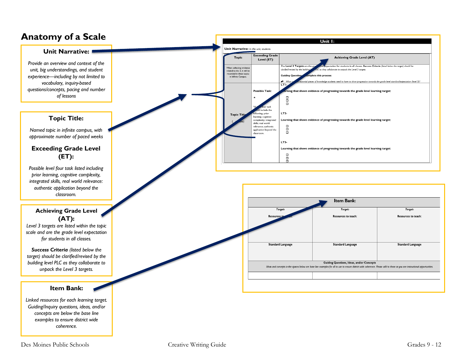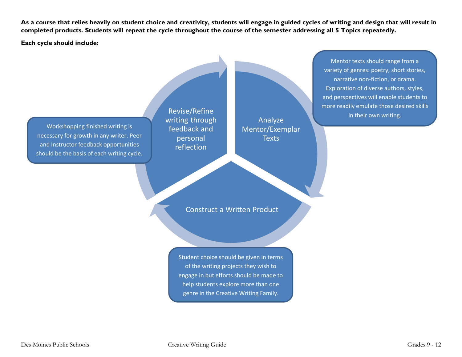**As a course that relies heavily on student choice and creativity, students will engage in guided cycles of writing and design that will result in completed products. Students will repeat the cycle throughout the course of the semester addressing all 5 Topics repeatedly.** 

**Each cycle should include:**

Workshopping finished writing is necessary for growth in any writer. Peer and Instructor feedback opportunities should be the basis of each writing cycle.

Revise/Refine writing through feedback and personal reflection

Analyze Mentor/Exemplar **Texts** 

Construct a Written Product

Student choice should be given in terms of the writing projects they wish to engage in but efforts should be made to help students explore more than one genre in the Creative Writing Family.

Mentor texts should range from a variety of genres: poetry, short stories, narrative non-fiction, or drama. Exploration of diverse authors, styles, and perspectives will enable students to more readily emulate those desired skills in their own writing.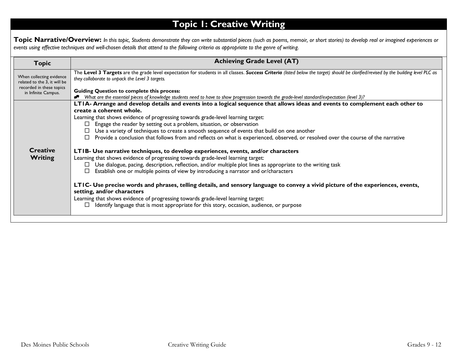# **Topic 1: Creative Writing**

**Topic Narrative/Overview:** *In this topic, Students demonstrate they can write substantial pieces (such as poems, memoir, or short stories) to develop real or imagined experiences or events using effective techniques and well-chosen details that attend to the following criteria as appropriate to the genre of writing.*

| Topic                                                    | <b>Achieving Grade Level (AT)</b>                                                                                                                                                                                                                                                                                                               |
|----------------------------------------------------------|-------------------------------------------------------------------------------------------------------------------------------------------------------------------------------------------------------------------------------------------------------------------------------------------------------------------------------------------------|
| When collecting evidence<br>related to the 3, it will be | The Level 3 Targets are the grade level expectation for students in all classes. Success Criteria (listed below the target) should be clarified/revised by the building level PLC as<br>they collaborate to unpack the Level 3 targets.                                                                                                         |
| recorded in these topics<br>in Infinite Campus.          | <b>Guiding Question to complete this process:</b>                                                                                                                                                                                                                                                                                               |
|                                                          | What are the essential pieces of knowledge students need to have to show progression towards the grade-level standard/expectation (level 3)?                                                                                                                                                                                                    |
|                                                          | LTIA- Arrange and develop details and events into a logical sequence that allows ideas and events to complement each other to                                                                                                                                                                                                                   |
|                                                          | create a coherent whole.                                                                                                                                                                                                                                                                                                                        |
|                                                          | Learning that shows evidence of progressing towards grade-level learning target:                                                                                                                                                                                                                                                                |
|                                                          | $\Box$ Engage the reader by setting out a problem, situation, or observation                                                                                                                                                                                                                                                                    |
|                                                          | Use a variety of techniques to create a smooth sequence of events that build on one another                                                                                                                                                                                                                                                     |
|                                                          | Provide a conclusion that follows from and reflects on what is experienced, observed, or resolved over the course of the narrative                                                                                                                                                                                                              |
| <b>Creative</b>                                          | LTIB- Use narrative techniques, to develop experiences, events, and/or characters                                                                                                                                                                                                                                                               |
| <b>Writing</b>                                           | Learning that shows evidence of progressing towards grade-level learning target:                                                                                                                                                                                                                                                                |
|                                                          | Use dialogue, pacing, description, reflection, and/or multiple plot lines as appropriate to the writing task                                                                                                                                                                                                                                    |
|                                                          | Establish one or multiple points of view by introducing a narrator and or/characters                                                                                                                                                                                                                                                            |
|                                                          | LTIC- Use precise words and phrases, telling details, and sensory language to convey a vivid picture of the experiences, events,<br>setting, and/or characters<br>Learning that shows evidence of progressing towards grade-level learning target:<br>Identify language that is most appropriate for this story, occasion, audience, or purpose |
|                                                          |                                                                                                                                                                                                                                                                                                                                                 |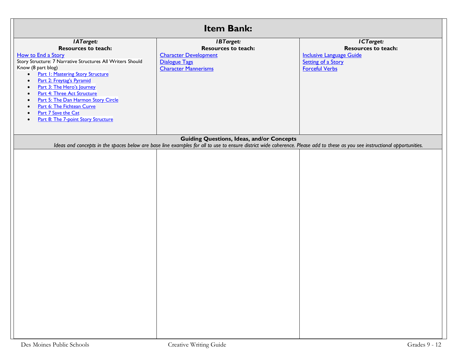| <b>Item Bank:</b>                                                                                                                                                                                                                                                                                                                                                                                                                                                                                                                         |                                                                                                                                                                             |                                                                                                                           |  |
|-------------------------------------------------------------------------------------------------------------------------------------------------------------------------------------------------------------------------------------------------------------------------------------------------------------------------------------------------------------------------------------------------------------------------------------------------------------------------------------------------------------------------------------------|-----------------------------------------------------------------------------------------------------------------------------------------------------------------------------|---------------------------------------------------------------------------------------------------------------------------|--|
| <b>IATarget:</b><br><b>Resources to teach:</b><br>How to End a Story<br>Story Structure: 7 Narrative Structures All Writers Should<br>Know (8 part blog)<br><b>Part I: Mastering Story Structure</b><br>$\bullet$<br>Part 2: Freytag's Pyramid<br>$\bullet$<br>Part 3: The Hero's Journey<br>$\bullet$<br>Part 4: Three Act Structure<br>$\bullet$<br>Part 5: The Dan Harmon Story Circle<br>$\bullet$<br>Part 6: The Fichtean Curve<br>$\bullet$<br>Part 7 Save the Cat<br>$\bullet$<br>Part 8: The 7-point Story Structure<br>$\bullet$ | <b>IBTarget:</b><br><b>Resources to teach:</b><br><b>Character Development</b><br><b>Dialogue Tags</b><br><b>Character Mannerisms</b>                                       | ICTarget:<br><b>Resources to teach:</b><br><b>Inclusive Language Guide</b><br>Setting of a Story<br><b>Forceful Verbs</b> |  |
|                                                                                                                                                                                                                                                                                                                                                                                                                                                                                                                                           | <b>Guiding Questions, Ideas, and/or Concepts</b>                                                                                                                            |                                                                                                                           |  |
|                                                                                                                                                                                                                                                                                                                                                                                                                                                                                                                                           | Ideas and concepts in the spaces below are base line examples for all to use to ensure district wide coherence. Please add to these as you see instructional opportunities. |                                                                                                                           |  |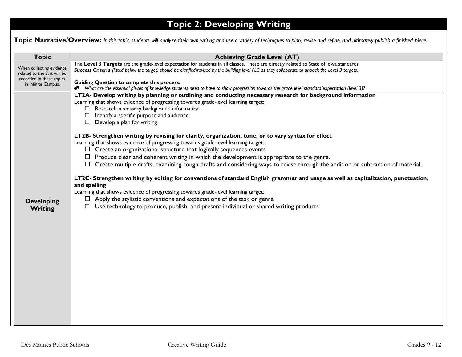# **Topic 2: Developing Writing**

Topic Narrative/Overview: In this topic, students will analyze their own writing and use a variety of techniques to plan, revise and refine, and ultimately publish a finished piece.

| <b>Topic</b>                                    | <b>Achieving Grade Level (AT)</b>                                                                                                                   |
|-------------------------------------------------|-----------------------------------------------------------------------------------------------------------------------------------------------------|
| When collecting evidence                        | The Level 3 Targets are the grade-level expectation for students in all classes. These are directly related to State of lowa standards.             |
| related to the 3, it will be                    | Success Criteria (listed below the target) should be clarified/revised by the building level PLC as they collaborate to unpack the Level 3 targets. |
| recorded in these topics<br>in Infinite Campus. | <b>Guiding Question to complete this process:</b>                                                                                                   |
|                                                 | Nhat are the essential pieces of knowledge students need to have to show progression towards the grade level standard/expectation (level 3)?        |
|                                                 | LT2A- Develop writing by planning or outlining and conducting necessary research for background information                                         |
|                                                 | Learning that shows evidence of progressing towards grade-level learning target:<br>$\Box$ Research necessary background information                |
|                                                 | $\Box$ Identify a specific purpose and audience                                                                                                     |
|                                                 | $\Box$ Develop a plan for writing                                                                                                                   |
|                                                 |                                                                                                                                                     |
|                                                 | LT2B- Strengthen writing by revising for clarity, organization, tone, or to vary syntax for effect                                                  |
|                                                 | Learning that shows evidence of progressing towards grade-level learning target:                                                                    |
|                                                 | $\Box$ Create an organizational structure that logically sequences events                                                                           |
|                                                 | $\Box$ Produce clear and coherent writing in which the development is appropriate to the genre.                                                     |
|                                                 | $\Box$ Create multiple drafts, examining rough drafts and considering ways to revise through the addition or subtraction of material.               |
|                                                 | LT2C- Strengthen writing by editing for conventions of standard English grammar and usage as well as capitalization, punctuation,                   |
|                                                 | and spelling                                                                                                                                        |
|                                                 | Learning that shows evidence of progressing towards grade-level learning target:                                                                    |
| <b>Developing</b>                               | $\Box$ Apply the stylistic conventions and expectations of the task or genre                                                                        |
| Writing                                         | $\Box$ Use technology to produce, publish, and present individual or shared writing products                                                        |
|                                                 |                                                                                                                                                     |
|                                                 |                                                                                                                                                     |
|                                                 |                                                                                                                                                     |
|                                                 |                                                                                                                                                     |
|                                                 |                                                                                                                                                     |
|                                                 |                                                                                                                                                     |
|                                                 |                                                                                                                                                     |
|                                                 |                                                                                                                                                     |
|                                                 |                                                                                                                                                     |
|                                                 |                                                                                                                                                     |
|                                                 |                                                                                                                                                     |
|                                                 |                                                                                                                                                     |
|                                                 |                                                                                                                                                     |
|                                                 |                                                                                                                                                     |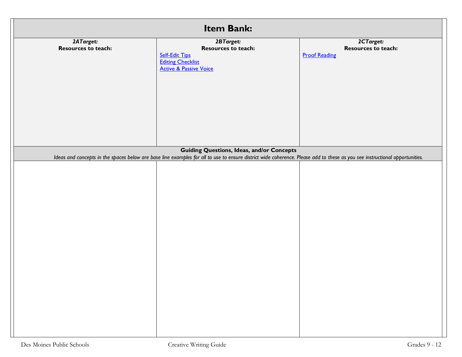| Item Bank:                       |                                                                                                                                                                             |                                                          |
|----------------------------------|-----------------------------------------------------------------------------------------------------------------------------------------------------------------------------|----------------------------------------------------------|
| 2ATarget:<br>Resources to teach: | 2BTarget:<br><b>Resources to teach:</b><br><b>Self-Edit Tips</b><br><b>Editing Checklist</b><br><b>Active &amp; Passive Voice</b>                                           | 2CTarget:<br>Resources to teach:<br><b>Proof Reading</b> |
|                                  | <b>Guiding Questions, Ideas, and/or Concepts</b>                                                                                                                            |                                                          |
|                                  | Ideas and concepts in the spaces below are base line examples for all to use to ensure district wide coherence. Please add to these as you see instructional opportunities. |                                                          |
|                                  |                                                                                                                                                                             |                                                          |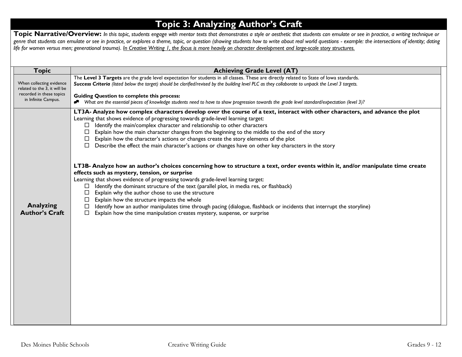## **Topic 3: Analyzing Author's Craft**

Topic Narrative/Overview: In this topic, students engage with mentor texts that demonstrates a style or aesthetic that students can emulate or see in practice, a writing technique or *genre that students can emulate or see in practice, or explores a theme, topic, or question (showing students how to write about real world questions - example: the intersections of identity; dating life for women versus men; generational trauma). In Creative Writing 1, the focus is more heavily on character development and large-scale story structures.*

| <b>Topic</b>                                                                                                | <b>Achieving Grade Level (AT)</b>                                                                                                                                                                                                                                                                                                                                                                                                                                                                                                                                                                                                                                                                                                                                |
|-------------------------------------------------------------------------------------------------------------|------------------------------------------------------------------------------------------------------------------------------------------------------------------------------------------------------------------------------------------------------------------------------------------------------------------------------------------------------------------------------------------------------------------------------------------------------------------------------------------------------------------------------------------------------------------------------------------------------------------------------------------------------------------------------------------------------------------------------------------------------------------|
| When collecting evidence<br>related to the 3, it will be<br>recorded in these topics<br>in Infinite Campus. | The Level 3 Targets are the grade level expectation for students in all classes. These are directly related to State of lowa standards.<br>Success Criteria (listed below the target) should be clarified/revised by the building level PLC as they collaborate to unpack the Level 3 targets.<br><b>Guiding Question to complete this process:</b><br>* What are the essential pieces of knowledge students need to have to show progression towards the grade level standard/expectation (level 3)?                                                                                                                                                                                                                                                            |
|                                                                                                             | LT3A- Analyze how complex characters develop over the course of a text, interact with other characters, and advance the plot<br>Learning that shows evidence of progressing towards grade-level learning target:<br>$\Box$ Identify the main/complex character and relationship to other characters<br>Explain how the main character changes from the beginning to the middle to the end of the story<br>□<br>Explain how the character's actions or changes create the story elements of the plot<br>$\Box$<br>$\Box$ Describe the effect the main character's actions or changes have on other key characters in the story<br>LT3B- Analyze how an author's choices concerning how to structure a text, order events within it, and/or manipulate time create |
| <b>Analyzing</b><br><b>Author's Craft</b>                                                                   | effects such as mystery, tension, or surprise<br>Learning that shows evidence of progressing towards grade-level learning target:<br>Identify the dominant structure of the text (parallel plot, in media res, or flashback)<br>Explain why the author chose to use the structure<br>⊔<br>Explain how the structure impacts the whole<br>Identify how an author manipulates time through pacing (dialogue, flashback or incidents that interrupt the storyline)<br>□<br>Explain how the time manipulation creates mystery, suspense, or surprise<br>$\Box$                                                                                                                                                                                                       |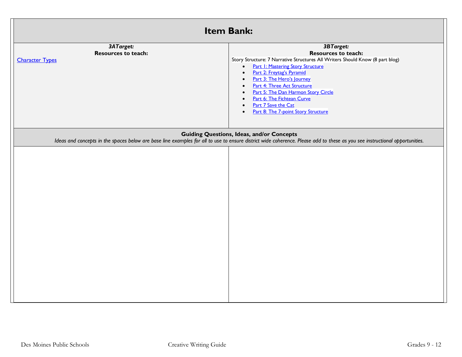| <b>Item Bank:</b>                                                 |                                                                                                                                                                                                                                                                                                                                                                                                                                                 |  |
|-------------------------------------------------------------------|-------------------------------------------------------------------------------------------------------------------------------------------------------------------------------------------------------------------------------------------------------------------------------------------------------------------------------------------------------------------------------------------------------------------------------------------------|--|
| 3ATarget:<br><b>Resources to teach:</b><br><b>Character Types</b> | 3BTarget:<br><b>Resources to teach:</b><br>Story Structure: 7 Narrative Structures All Writers Should Know (8 part blog)<br><b>Part I: Mastering Story Structure</b><br>$\bullet$<br>Part 2: Freytag's Pyramid<br>$\bullet$<br>Part 3: The Hero's Journey<br><b>Part 4: Three Act Structure</b><br>Part 5: The Dan Harmon Story Circle<br>Part 6: The Fichtean Curve<br>Part 7 Save the Cat<br>Part 8: The 7-point Story Structure<br>$\bullet$ |  |
|                                                                   | <b>Guiding Questions, Ideas, and/or Concepts</b><br>Ideas and concepts in the spaces below are base line examples for all to use to ensure district wide coherence. Please add to these as you see instructional opportunities.                                                                                                                                                                                                                 |  |
|                                                                   |                                                                                                                                                                                                                                                                                                                                                                                                                                                 |  |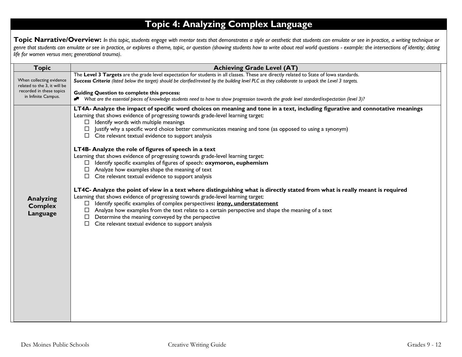# **Topic 4: Analyzing Complex Language**

Topic Narrative/Overview: In this topic, students engage with mentor texts that demonstrates a style or aesthetic that students can emulate or see in practice, a writing technique or *genre that students can emulate or see in practice, or explores a theme, topic, or question (showing students how to write about real world questions - example: the intersections of identity; dating life for women versus men; generational trauma).* 

| <b>Topic</b>                                             | <b>Achieving Grade Level (AT)</b>                                                                                                                                                                                                                                                                                                                                                                                                                                                                                                                      |  |
|----------------------------------------------------------|--------------------------------------------------------------------------------------------------------------------------------------------------------------------------------------------------------------------------------------------------------------------------------------------------------------------------------------------------------------------------------------------------------------------------------------------------------------------------------------------------------------------------------------------------------|--|
| When collecting evidence<br>related to the 3, it will be | The Level 3 Targets are the grade level expectation for students in all classes. These are directly related to State of lowa standards.<br>Success Criteria (listed below the target) should be clarified/revised by the building level PLC as they collaborate to unpack the Level 3 targets.                                                                                                                                                                                                                                                         |  |
| recorded in these topics<br>in Infinite Campus.          | <b>Guiding Question to complete this process:</b><br>What are the essential pieces of knowledge students need to have to show progression towards the grade level standard/expectation (level 3)?<br>R                                                                                                                                                                                                                                                                                                                                                 |  |
|                                                          | LT4A- Analyze the impact of specific word choices on meaning and tone in a text, including figurative and connotative meanings<br>Learning that shows evidence of progressing towards grade-level learning target:<br>Identify words with multiple meanings<br>$\Box$<br>Justify why a specific word choice better communicates meaning and tone (as opposed to using a synonym)<br>Cite relevant textual evidence to support analysis<br>LT4B- Analyze the role of figures of speech in a text                                                        |  |
|                                                          | Learning that shows evidence of progressing towards grade-level learning target:<br>Identify specific examples of figures of speech: oxymoron, euphemism<br>Analyze how examples shape the meaning of text<br>$\Box$ Cite relevant textual evidence to support analysis                                                                                                                                                                                                                                                                                |  |
| <b>Analyzing</b><br><b>Complex</b><br><b>Language</b>    | LT4C- Analyze the point of view in a text where distinguishing what is directly stated from what is really meant is required<br>Learning that shows evidence of progressing towards grade-level learning target:<br>Identify specific examples of complex perspectives: <i>irony</i> , understatement<br>$\Box$<br>Analyze how examples from the text relate to a certain perspective and shape the meaning of a text<br>$\Box$<br>Determine the meaning conveyed by the perspective<br>□<br>$\Box$ Cite relevant textual evidence to support analysis |  |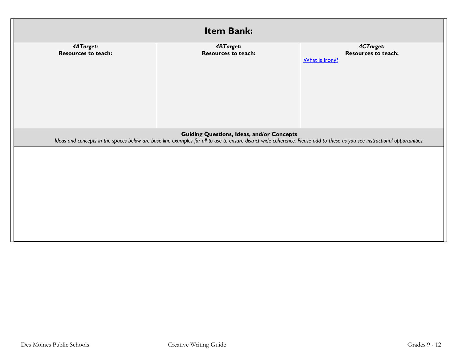| Item Bank:                              |                                                                                                                                                                                                                                 |                                                           |  |
|-----------------------------------------|---------------------------------------------------------------------------------------------------------------------------------------------------------------------------------------------------------------------------------|-----------------------------------------------------------|--|
| 4ATarget:<br><b>Resources to teach:</b> | <b>4BTarget:</b><br>Resources to teach:                                                                                                                                                                                         | 4CTarget:<br><b>Resources to teach:</b><br>What is Irony? |  |
|                                         | <b>Guiding Questions, Ideas, and/or Concepts</b><br>Ideas and concepts in the spaces below are base line examples for all to use to ensure district wide coherence. Please add to these as you see instructional opportunities. |                                                           |  |
|                                         |                                                                                                                                                                                                                                 |                                                           |  |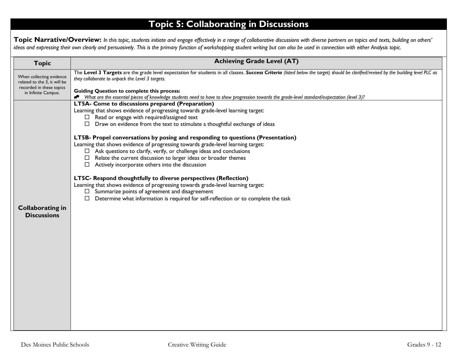# **Topic 5: Collaborating in Discussions**

Topic Narrative/Overview: In this topic, students initiate and engage effectively in a range of collaborative discussions with diverse partners on topics and texts, building on others' *ideas and expressing their own clearly and persuasively. This is the primary function of workshopping student writing but can also be used in connection with either Analysis topic.*

| <b>Topic</b>                                                                                                | <b>Achieving Grade Level (AT)</b>                                                                                                                                                                                                                                                            |
|-------------------------------------------------------------------------------------------------------------|----------------------------------------------------------------------------------------------------------------------------------------------------------------------------------------------------------------------------------------------------------------------------------------------|
| When collecting evidence<br>related to the 3, it will be<br>recorded in these topics<br>in Infinite Campus. | The Level 3 Targets are the grade level expectation for students in all classes. Success Criteria (listed below the target) should be clarified/revised by the building level PLC as<br>they collaborate to unpack the Level 3 targets.<br><b>Guiding Question to complete this process:</b> |
|                                                                                                             | ◆ What are the essential pieces of knowledge students need to have to show progression towards the grade-level standard/expectation (level 3)?                                                                                                                                               |
|                                                                                                             | LT5A- Come to discussions prepared (Preparation)<br>Learning that shows evidence of progressing towards grade-level learning target:                                                                                                                                                         |
|                                                                                                             | $\Box$ Read or engage with required/assigned text                                                                                                                                                                                                                                            |
|                                                                                                             | $\Box$ Draw on evidence from the text to stimulate a thoughtful exchange of ideas                                                                                                                                                                                                            |
|                                                                                                             | LT5B- Propel conversations by posing and responding to questions (Presentation)                                                                                                                                                                                                              |
|                                                                                                             | Learning that shows evidence of progressing towards grade-level learning target:                                                                                                                                                                                                             |
|                                                                                                             | $\Box$ Ask questions to clarify, verify, or challenge ideas and conclusions<br>Relate the current discussion to larger ideas or broader themes<br>$\Box$                                                                                                                                     |
|                                                                                                             | $\Box$ Actively incorporate others into the discussion                                                                                                                                                                                                                                       |
|                                                                                                             |                                                                                                                                                                                                                                                                                              |
|                                                                                                             | LT5C- Respond thoughtfully to diverse perspectives (Reflection)                                                                                                                                                                                                                              |
|                                                                                                             | Learning that shows evidence of progressing towards grade-level learning target:<br>$\Box$ Summarize points of agreement and disagreement                                                                                                                                                    |
|                                                                                                             | Determine what information is required for self-reflection or to complete the task<br>□                                                                                                                                                                                                      |
| <b>Collaborating in</b>                                                                                     |                                                                                                                                                                                                                                                                                              |
| <b>Discussions</b>                                                                                          |                                                                                                                                                                                                                                                                                              |
|                                                                                                             |                                                                                                                                                                                                                                                                                              |
|                                                                                                             |                                                                                                                                                                                                                                                                                              |
|                                                                                                             |                                                                                                                                                                                                                                                                                              |
|                                                                                                             |                                                                                                                                                                                                                                                                                              |
|                                                                                                             |                                                                                                                                                                                                                                                                                              |
|                                                                                                             |                                                                                                                                                                                                                                                                                              |
|                                                                                                             |                                                                                                                                                                                                                                                                                              |
|                                                                                                             |                                                                                                                                                                                                                                                                                              |
|                                                                                                             |                                                                                                                                                                                                                                                                                              |
|                                                                                                             |                                                                                                                                                                                                                                                                                              |
|                                                                                                             |                                                                                                                                                                                                                                                                                              |
|                                                                                                             |                                                                                                                                                                                                                                                                                              |
|                                                                                                             |                                                                                                                                                                                                                                                                                              |
|                                                                                                             |                                                                                                                                                                                                                                                                                              |